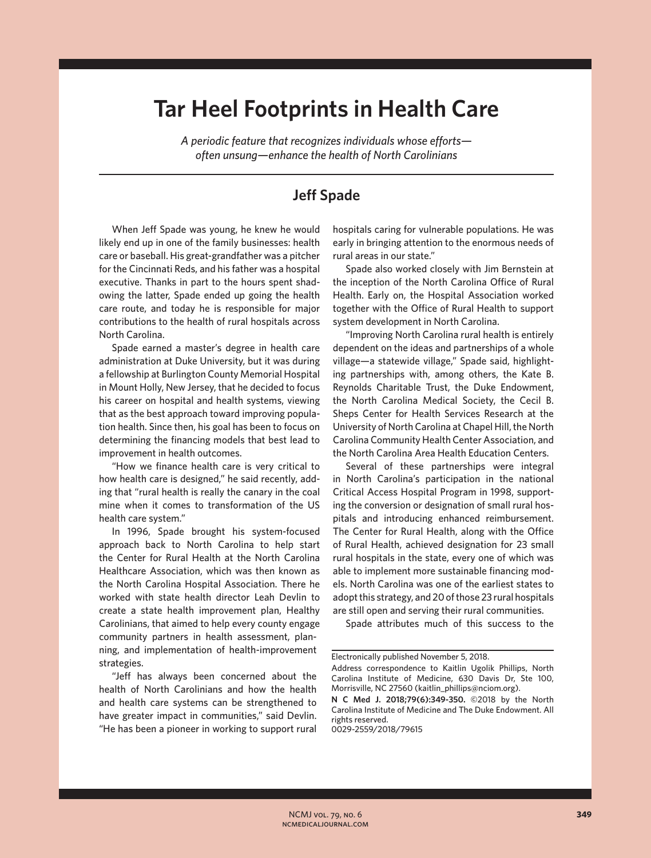## **Tar Heel Footprints in Health Care**

*A periodic feature that recognizes individuals whose efforts often unsung—enhance the health of North Carolinians*

## **Jeff Spade**

When Jeff Spade was young, he knew he would likely end up in one of the family businesses: health care or baseball. His great-grandfather was a pitcher for the Cincinnati Reds, and his father was a hospital executive. Thanks in part to the hours spent shadowing the latter, Spade ended up going the health care route, and today he is responsible for major contributions to the health of rural hospitals across North Carolina.

Spade earned a master's degree in health care administration at Duke University, but it was during a fellowship at Burlington County Memorial Hospital in Mount Holly, New Jersey, that he decided to focus his career on hospital and health systems, viewing that as the best approach toward improving population health. Since then, his goal has been to focus on determining the financing models that best lead to improvement in health outcomes.

"How we finance health care is very critical to how health care is designed," he said recently, adding that "rural health is really the canary in the coal mine when it comes to transformation of the US health care system."

In 1996, Spade brought his system-focused approach back to North Carolina to help start the Center for Rural Health at the North Carolina Healthcare Association, which was then known as the North Carolina Hospital Association. There he worked with state health director Leah Devlin to create a state health improvement plan, Healthy Carolinians, that aimed to help every county engage community partners in health assessment, planning, and implementation of health-improvement strategies.

"Jeff has always been concerned about the health of North Carolinians and how the health and health care systems can be strengthened to have greater impact in communities," said Devlin. "He has been a pioneer in working to support rural

hospitals caring for vulnerable populations. He was early in bringing attention to the enormous needs of rural areas in our state."

Spade also worked closely with Jim Bernstein at the inception of the North Carolina Office of Rural Health. Early on, the Hospital Association worked together with the Office of Rural Health to support system development in North Carolina.

"Improving North Carolina rural health is entirely dependent on the ideas and partnerships of a whole village—a statewide village," Spade said, highlighting partnerships with, among others, the Kate B. Reynolds Charitable Trust, the Duke Endowment, the North Carolina Medical Society, the Cecil B. Sheps Center for Health Services Research at the University of North Carolina at Chapel Hill, the North Carolina Community Health Center Association, and the North Carolina Area Health Education Centers.

Several of these partnerships were integral in North Carolina's participation in the national Critical Access Hospital Program in 1998, supporting the conversion or designation of small rural hospitals and introducing enhanced reimbursement. The Center for Rural Health, along with the Office of Rural Health, achieved designation for 23 small rural hospitals in the state, every one of which was able to implement more sustainable financing models. North Carolina was one of the earliest states to adopt this strategy, and 20 of those 23 rural hospitals are still open and serving their rural communities.

Spade attributes much of this success to the

Electronically published November 5, 2018.

Address correspondence to Kaitlin Ugolik Phillips, North Carolina Institute of Medicine, 630 Davis Dr, Ste 100, Morrisville, NC 27560 (kaitlin\_phillips@nciom.org).

**N C Med J. 2018;79(6):349-350.** ©2018 by the North Carolina Institute of Medicine and The Duke Endowment. All rights reserved. 0029-2559/2018/79615